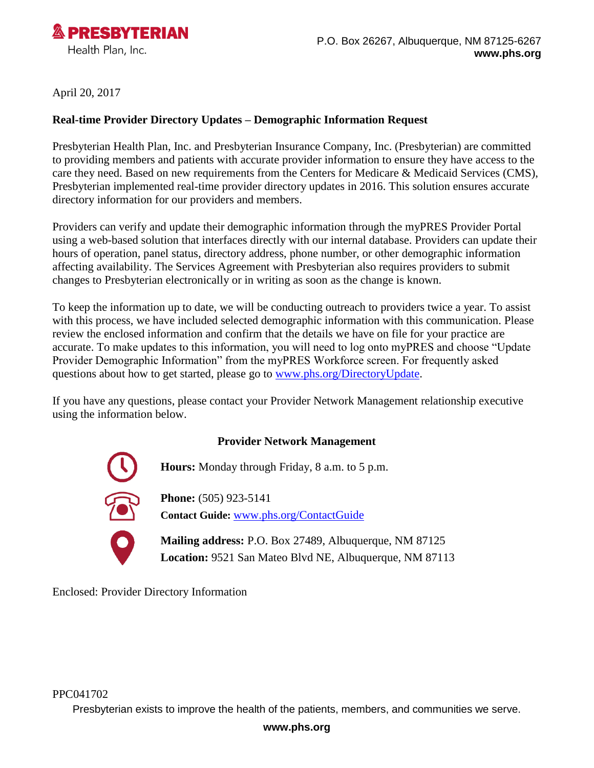

April 20, 2017

## **Real-time Provider Directory Updates – Demographic Information Request**

Presbyterian Health Plan, Inc. and Presbyterian Insurance Company, Inc. (Presbyterian) are committed to providing members and patients with accurate provider information to ensure they have access to the care they need. Based on new requirements from the Centers for Medicare & Medicaid Services (CMS), Presbyterian implemented real-time provider directory updates in 2016. This solution ensures accurate directory information for our providers and members.

Providers can verify and update their demographic information through the myPRES Provider Portal using a web-based solution that interfaces directly with our internal database. Providers can update their hours of operation, panel status, directory address, phone number, or other demographic information affecting availability. The Services Agreement with Presbyterian also requires providers to submit changes to Presbyterian electronically or in writing as soon as the change is known.

To keep the information up to date, we will be conducting outreach to providers twice a year. To assist with this process, we have included selected demographic information with this communication. Please review the enclosed information and confirm that the details we have on file for your practice are accurate. To make updates to this information, you will need to log onto myPRES and choose "Update Provider Demographic Information" from the myPRES Workforce screen. For frequently asked questions about how to get started, please go to [www.phs.org/DirectoryUpdate.](http://www.phs.org/DirectoryUpdate)

If you have any questions, please contact your Provider Network Management relationship executive using the information below.

## **Provider Network Management**

**Hours:** Monday through Friday, 8 a.m. to 5 p.m.

**Phone:** (505) 923-5141

**Contact Guide:** [www.phs.org/ContactGuide](http://www.phs.org/ContactGuide)

**Mailing address:** P.O. Box 27489, Albuquerque, NM 87125 **Location:** 9521 San Mateo Blvd NE, Albuquerque, NM 87113

Enclosed: Provider Directory Information